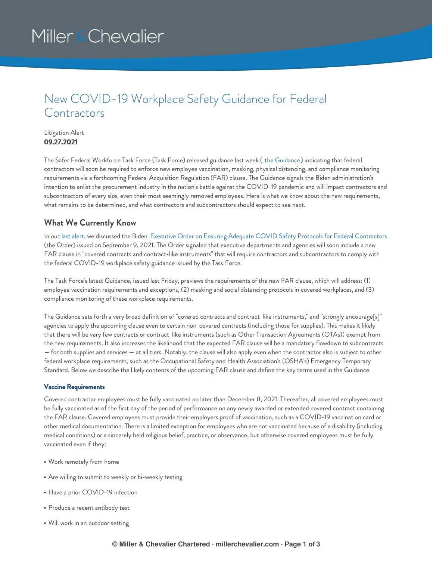# Miller & Chevalier

### New COVID-19 Workplace Safety Guidance for Federal **Contractors**

#### Litigation Alert **09.27.2021**

The Safer Federal Workforce Task Force (Task Force) released guidance last week ( the [Guidance](https://www.saferfederalworkforce.gov/downloads/Draft%20contractor%20guidance%20doc_20210922.pdf)) indicating that federal contractors will soon be required to enforce new employee vaccination, masking, physical distancing, and compliance monitoring requirements via a forthcoming Federal Acquisition Regulation (FAR) clause. The Guidance signals the Biden administration's intention to enlist the procurement industry in the nation's battle against the COVID-19 pandemic and will impact contractors and subcontractors of every size, even their most seemingly removed employees. Here is what we know about the new requirements, what remains to be determined, and what contractors and subcontractors should expect to see next.

### **What We Currently Know**

In our last [alert](https://www.millerchevalier.com/publication/impact-new-covid-19-mandates-government-contractors), we discussed the Biden Executive Order on Ensuring Adequate COVID Safety Protocols for Federal [Contractors](https://www.whitehouse.gov/briefing-room/presidential-actions/2021/09/09/executive-order-on-ensuring-adequate-covid-safety-protocols-for-federal-contractors/) (the Order) issued on September 9, 2021. The Order signaled that executive departments and agencies will soon include a new FAR clause in "covered contracts and contract-like instruments" that will require contractors and subcontractors to comply with the federal COVID-19 workplace safety guidance issued by the Task Force.

The Task Force's latest Guidance, issued last Friday, previews the requirements of the new FAR clause, which will address: (1) employee vaccination requirements and exceptions, (2) masking and social distancing protocols in covered workplaces, and (3) compliance monitoring of these workplace requirements.

The Guidance sets forth a very broad definition of "covered contracts and contract-like instruments," and "strongly encourage[s]" agencies to apply the upcoming clause even to certain non-covered contracts (including those for supplies). This makes it likely that there will be very few contracts or contract-like instruments (such as Other Transaction Agreements (OTAs)) exempt from the new requirements. It also increases the likelihood that the expected FAR clause will be a mandatory flowdown to subcontracts — for both supplies and services — at all tiers. Notably, the clause will also apply even when the contractor also is subject to other federal workplace requirements, such as the Occupational Safety and Health Association's (OSHA's) Emergency Temporary Standard. Below we describe the likely contents of the upcoming FAR clause and define the key terms used in the Guidance.

#### **Vaccine Requirements**

Covered contractor employees must be fully vaccinated no later than December 8, 2021. Thereafter, all covered employees must be fully vaccinated as of the first day of the period of performance on any newly awarded or extended covered contract containing the FAR clause. Covered employees must provide their employers proof of vaccination, such as a COVID-19 vaccination card or other medical documentation. There is a limited exception for employees who are not vaccinated because of a disability (including medical conditions) or a sincerely held religious belief, practice, or observance, but otherwise covered employees must be fully vaccinated even if they:

- Work remotely from home
- Are willing to submit to weekly or bi-weekly testing
- Have a prior COVID-19 infection
- Produce a recent antibody test
- Will work in an outdoor setting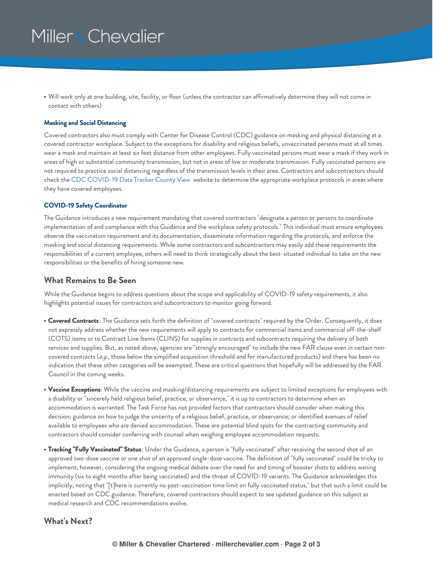# Miller & Chevalier

Will work only at one building, site, facility, or floor (unless the contractor can affirmatively determine they will not come in contact with others)

#### **Masking and Social Distancing**

Covered contractors also must comply with Center for Disease Control (CDC) guidance on masking and physical distancing at a covered contractor workplace. Subject to the exceptions for disability and religious beliefs, unvaccinated persons must at all times wear a mask and maintain at least six feet distance from other employees. Fully vaccinated persons must wear a mask if they work in areas of high or substantial community transmission, but not in areas of low or moderate transmission. Fully vaccinated persons are not required to practice social distancing regardless of the transmission levels in their area. Contractors and subcontractors should check the CDC [COVID-19](https://covid.cdc.gov/covid-data-tracker/#county-view) Data Tracker County View website to determine the appropriate workplace protocols in areas where they have covered employees.

#### **COVID-19 Safety Coordinator**

The Guidance introduces a new requirement mandating that covered contractors "designate a person or persons to coordinate implementation of and compliance with this Guidance and the workplace safety protocols." This individual must ensure employees observe the vaccination requirement and its documentation, disseminate information regarding the protocols, and enforce the masking and social distancing requirements. While some contractors and subcontractors may easily add these requirements the responsibilities of a current employee, others will need to think strategically about the best-situated individual to take on the new responsibilities or the benefits of hiring someone new.

#### **What Remains to Be Seen**

While the Guidance begins to address questions about the scope and applicability of COVID-19 safety requirements, it also highlights potential issues for contractors and subcontractors to monitor going forward.

- **Covered Contracts**: The Guidance sets forth the definition of "covered contracts" required by the Order. Consequently, it does not expressly address whether the new requirements will apply to contracts for commercial items and commercial off-the-shelf (COTS) items or to Contract Line Items (CLINS) for supplies in contracts and subcontracts requiring the delivery of both services and supplies. But, as noted above, agencies are "strongly encouraged" to include the new FAR clause even in certain noncovered contracts (*e.g*., those below the simplified acquisition threshold and for manufactured products) and there has been no indication that these other categories will be exempted. These are critical questions that hopefully will be addressed by the FAR Council in the coming weeks.
- **Vaccine Exceptions**: While the vaccine and masking/distancing requirements are subject to limited exceptions for employees with a disability or "sincerely held religious belief, practice, or observance," it is up to contractors to determine when an accommodation is warranted. The Task Force has not provided factors that contractors should consider when making this decision; guidance on how to judge the sincerity of a religious belief, practice, or observance; or identified avenues of relief available to employees who are denied accommodation. These are potential blind spots for the contracting community and contractors should consider conferring with counsel when weighing employee accommodation requests.
- **Tracking "Fully Vaccinated" Status**: Under the Guidance, a person is "fully vaccinated" after receiving the second shot of an approved two-dose vaccine or one shot of an approved single-dose vaccine. The definition of "fully vaccinated" could be tricky to implement, however, considering the ongoing medical debate over the need for and timing of booster shots to address waning immunity (six to eight months after being vaccinated) and the threat of COVID-19 variants. The Guidance acknowledges this implicitly, noting that "[t]here is currently no post-vaccination time limit on fully vaccinated status," but that such a limit could be enacted based on CDC guidance. Therefore, covered contractors should expect to see updated guidance on this subject as medical research and CDC recommendations evolve.

#### **What's Next?**